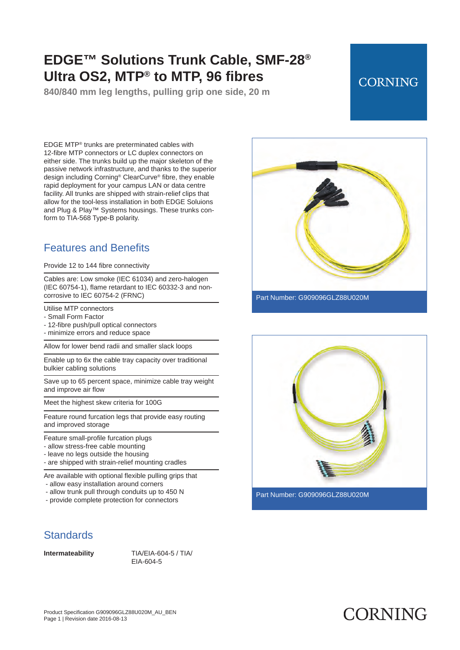**840/840 mm leg lengths, pulling grip one side, 20 m**

## **CORNING**

EDGE MTP® trunks are preterminated cables with 12 -fibre MTP connectors or LC duplex connectors on either side. The trunks build up the major skeleton of the passive network infrastructure, and thanks to the superior design including Corning® ClearCurve® fibre, they enable rapid deployment for your campus LAN or data centre facility. All trunks are shipped with strain -relief clips that allow for the tool-less installation in both EDGE Soluions and Plug & Play™ Systems housings. These trunks conform to TIA-568 Type-B polarity.

## Features and Benefits

Provide 12 to 144 fibre connectivity

Cables are: Low smoke (IEC 61034) and zero-halogen (IEC 60754-1), flame retardant to IEC 60332-3 and noncorrosive to IEC 60754-2 (FRNC)

Utilise MTP connectors

- Small Form Factor
- 12-fibre push/pull optical connectors
- minimize errors and reduce space

Allow for lower bend radii and smaller slack loops

Enable up to 6x the cable tray capacity over traditional bulkier cabling solutions

Save up to 65 percent space, minimize cable tray weight and improve air flow

Meet the highest skew criteria for 100G

Feature round furcation legs that provide easy routing and improved storage

Feature small-profile furcation plugs

- allow stress-free cable mounting
- leave no legs outside the housing
- are shipped with strain-relief mounting cradles

Are available with optional flexible pulling grips that - allow easy installation around corners

- allow trunk pull through conduits up to 450 N
- provide complete protection for connectors

## **Standards**

**Intermateability** TIA/EIA-604-5 / TIA/ EIA-604-5



Part Number: G909096GLZ88U020M

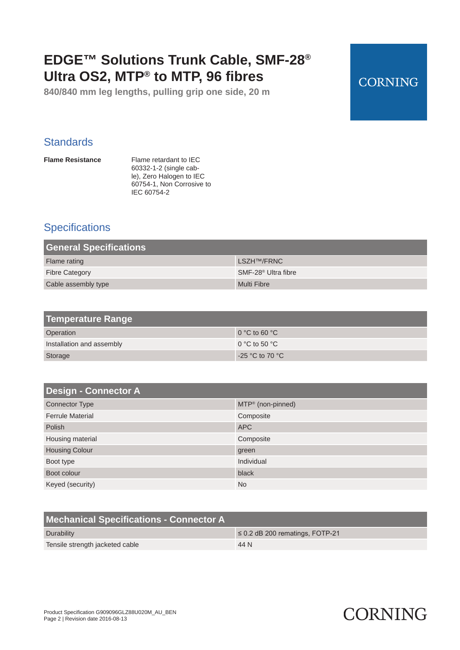**840/840 mm leg lengths, pulling grip one side, 20 m**

## **CORNING**

## **Standards**

**Flame Resistance** Flame retardant to IEC 60332-1-2 (single cable), Zero Halogen to IEC 60754-1, Non Corrosive to IEC 60754-2

## **Specifications**

| <b>General Specifications</b> |                                 |
|-------------------------------|---------------------------------|
| Flame rating                  | LSZH <sup>TM</sup> /FRNC        |
| <b>Fibre Category</b>         | SMF-28 <sup>®</sup> Ultra fibre |
| Cable assembly type           | Multi Fibre                     |

| <b>Temperature Range</b>  |                   |
|---------------------------|-------------------|
| Operation                 | $0 °C$ to 60 $°C$ |
| Installation and assembly | 0 °C to 50 °C     |
| Storage                   | $-25$ °C to 70 °C |

| <b>Design - Connector A</b> |                               |
|-----------------------------|-------------------------------|
| <b>Connector Type</b>       | MTP <sup>®</sup> (non-pinned) |
| <b>Ferrule Material</b>     | Composite                     |
| Polish                      | <b>APC</b>                    |
| Housing material            | Composite                     |
| <b>Housing Colour</b>       | green                         |
| Boot type                   | Individual                    |
| Boot colour                 | black                         |
| Keyed (security)            | <b>No</b>                     |

| Mechanical Specifications - Connector A |                                      |
|-----------------------------------------|--------------------------------------|
| Durability                              | $\leq$ 0.2 dB 200 rematings, FOTP-21 |
| Tensile strength jacketed cable         | 44 N                                 |

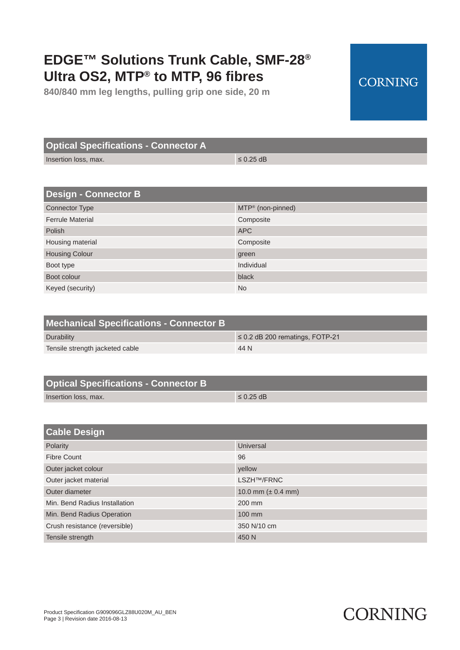**840/840 mm leg lengths, pulling grip one side, 20 m**

### **Optical Specifications - Connector A**

Insertion loss, max.  $\leq 0.25$  dB

| <b>Design - Connector B</b> |                               |
|-----------------------------|-------------------------------|
| <b>Connector Type</b>       | MTP <sup>®</sup> (non-pinned) |
| <b>Ferrule Material</b>     | Composite                     |
| Polish                      | <b>APC</b>                    |
| Housing material            | Composite                     |
| <b>Housing Colour</b>       | green                         |
| Boot type                   | Individual                    |
| Boot colour                 | black                         |
| Keyed (security)            | <b>No</b>                     |

| <b>Mechanical Specifications - Connector B</b> |                                      |
|------------------------------------------------|--------------------------------------|
| Durability                                     | $\leq$ 0.2 dB 200 rematings, FOTP-21 |
| Tensile strength jacketed cable                | 44 N                                 |

| <b>Optical Specifications - Connector B</b> |                |
|---------------------------------------------|----------------|
| Insertion loss, max.                        | $\leq$ 0.25 dB |

| <b>Cable Design</b>           |                         |
|-------------------------------|-------------------------|
| Polarity                      | Universal               |
| <b>Fibre Count</b>            | 96                      |
| Outer jacket colour           | yellow                  |
| Outer jacket material         | <b>LSZH™/FRNC</b>       |
| Outer diameter                | 10.0 mm ( $\pm$ 0.4 mm) |
| Min. Bend Radius Installation | 200 mm                  |
| Min. Bend Radius Operation    | 100 mm                  |
| Crush resistance (reversible) | 350 N/10 cm             |
| Tensile strength              | 450 N                   |

# **CORNING**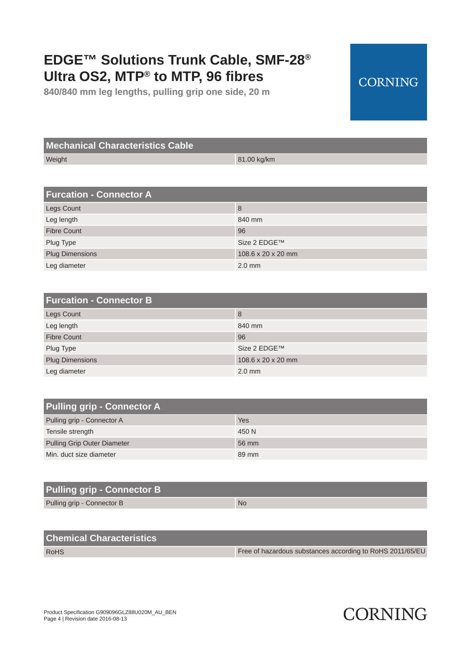**840/840 mm leg lengths, pulling grip one side, 20 m**

## **Mechanical Characteristics Cable**

Weight 81.00 kg/km

| <b>Furcation - Connector A</b> |                    |
|--------------------------------|--------------------|
| <b>Legs Count</b>              | 8                  |
| Leg length                     | 840 mm             |
| <b>Fibre Count</b>             | 96                 |
| Plug Type                      | Size 2 EDGE™       |
| <b>Plug Dimensions</b>         | 108.6 x 20 x 20 mm |
| Leg diameter                   | $2.0$ mm           |

| <b>Furcation - Connector B</b> |                    |
|--------------------------------|--------------------|
| <b>Legs Count</b>              | 8                  |
| Leg length                     | 840 mm             |
| <b>Fibre Count</b>             | 96                 |
| Plug Type                      | Size 2 EDGE™       |
| <b>Plug Dimensions</b>         | 108.6 x 20 x 20 mm |
| Leg diameter                   | $2.0$ mm           |

| <b>Pulling grip - Connector A</b>  |       |
|------------------------------------|-------|
| Pulling grip - Connector A         | Yes   |
| Tensile strength                   | 450 N |
| <b>Pulling Grip Outer Diameter</b> | 56 mm |
| Min. duct size diameter            | 89 mm |

| <b>Pulling grip - Connector B</b> |           |
|-----------------------------------|-----------|
| Pulling grip - Connector B        | <b>No</b> |

### **Chemical Characteristics**

RoHS Free of hazardous substances according to RoHS 2011/65/EU

# **CORNING**

**CORNING**